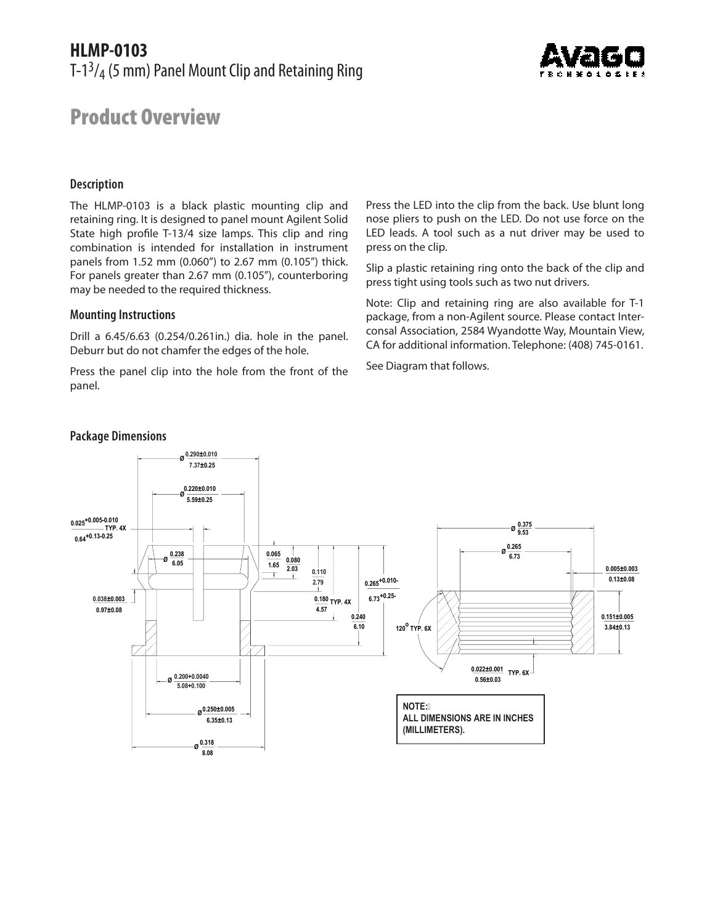## **HLMP-0103** T-13/4 (5 mm) Panel Mount Clip and Retaining Ring



# Product Overview

#### **Description**

The HLMP-0103 is a black plastic mounting clip and retaining ring. It is designed to panel mount Agilent Solid State high profile T-13/4 size lamps. This clip and ring combination is intended for installation in instrument panels from 1.52 mm (0.060") to 2.67 mm (0.105") thick. For panels greater than 2.67 mm (0.105"), counterboring may be needed to the required thickness.

#### **Mounting Instructions**

Drill a 6.45/6.63 (0.254/0.261in.) dia. hole in the panel. Deburr but do not chamfer the edges of the hole.

Press the panel clip into the hole from the front of the panel.

Press the LED into the clip from the back. Use blunt long nose pliers to push on the LED. Do not use force on the LED leads. A tool such as a nut driver may be used to press on the clip.

Slip a plastic retaining ring onto the back of the clip and press tight using tools such as two nut drivers.

Note: Clip and retaining ring are also available for T-1 package, from a non-Agilent source. Please contact Interconsal Association, 2584 Wyandotte Way, Mountain View, CA for additional information. Telephone: (408) 745-0161.

See Diagram that follows.



### **Package Dimensions**